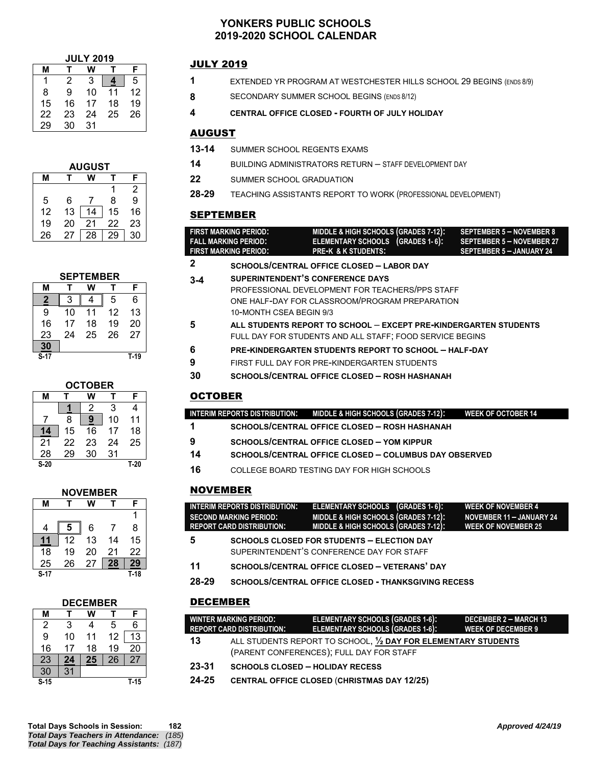### **YONKERS PUBLIC SCHOOLS 2019-2020 SCHOOL CALENDAR**

| <b>JULY 2019</b> |    |    |    |    |  |
|------------------|----|----|----|----|--|
| м                |    |    |    |    |  |
|                  | 2  | 3  |    | 5  |  |
| 8                | 9  | 10 | 11 | 12 |  |
| 15               | 16 | 17 | 18 | 19 |  |
| 22               | 23 | 24 | 25 | 26 |  |
| 29               | 30 | 31 |    |    |  |

| <b>AUGUST</b> |    |    |    |    |  |  |
|---------------|----|----|----|----|--|--|
|               |    |    |    | F  |  |  |
|               |    |    |    | 2  |  |  |
| 5             | 6  |    | 8  | 9  |  |  |
| 12            | 13 | 14 | 15 | 16 |  |  |
| 19            | 20 | 21 | 22 | 23 |  |  |
| 26            | 27 | 28 | 29 | 30 |  |  |

| <b>SEPTEMBER</b> |    |    |    |        |  |
|------------------|----|----|----|--------|--|
| м                | т  |    |    | F      |  |
| 2                | 3  |    | 5  | 6      |  |
| 9                | 10 | 11 | 12 | 13     |  |
| 16               | 17 | 18 | 19 | 20     |  |
| 23               | 24 | 25 | 26 | 27     |  |
| 30               |    |    |    |        |  |
| S-17             |    |    |    | $T-19$ |  |

| <b>OCTOBER</b> |    |    |    |        |  |  |
|----------------|----|----|----|--------|--|--|
| м              |    | F  |    |        |  |  |
|                |    | 2  | 3  | 4      |  |  |
|                | 8  | 9  | 10 | 11     |  |  |
| 14             | 15 | 16 | 17 | 18     |  |  |
| 21             | 22 | 23 | 24 | 25     |  |  |
| 28             | 29 | 30 | 31 |        |  |  |
| $S-20$         |    |    |    | $T-20$ |  |  |

| <b>NOVEMBER</b> |    |    |    |        |  |  |  |
|-----------------|----|----|----|--------|--|--|--|
| м               |    |    |    |        |  |  |  |
|                 |    |    |    |        |  |  |  |
| 4               | 5  | 6  | 7  | 8      |  |  |  |
| 11              | 12 | 13 | 14 | 15     |  |  |  |
| 18              | 19 | 20 | 21 | 22     |  |  |  |
| 25              | 26 | 27 | 28 | 29     |  |  |  |
| $S-17$          |    |    |    | $T-18$ |  |  |  |

| <b>DECEMBER</b> |    |    |    |        |  |
|-----------------|----|----|----|--------|--|
| м               |    |    |    | F      |  |
| 2               | 3  | 4  | 5  | 6      |  |
| 9               | 10 | 11 | 12 | 13     |  |
| 16              | 17 | 18 | 19 | 20     |  |
| 23              | 24 | 25 | 26 | 27     |  |
| 30              | 31 |    |    |        |  |
| S <sub>15</sub> |    |    |    | $T-15$ |  |

# JULY 2019

- **1** EXTENDED YR PROGRAM AT WESTCHESTER HILLS SCHOOL 29 BEGINS (ENDS 8/9)
- 8 **SECONDARY SUMMER SCHOOL BEGINS (ENDS 8/12)**
- **4 CENTRAL OFFICE CLOSED - FOURTH OF JULY HOLIDAY**

### AUGUST

- **13-14** SUMMER SCHOOL REGENTS EXAMS
- **14** BUILDING ADMINISTRATORS RETURN STAFF DEVELOPMENT DAY
- **22** SUMMER SCHOOL GRADUATION
- **28-29** TEACHING ASSISTANTS REPORT TO WORK (PROFESSIONAL DEVELOPMENT)

# SEPTEMBER

| FIRST MARKING PERIOD:       | MIDDLE & HIGH SCHOOLS (GRADES 7-12): | SEPTEMBER 5 - NOVEMBER 8        |
|-----------------------------|--------------------------------------|---------------------------------|
| <b>FALL MARKING PERIOD:</b> | ELEMENTARY SCHOOLS (GRADES 1-6):     | SEPTEMBER 5 - NOVEMBER 27       |
| FIRST MARKING PERIOD:       | <b>PRE-K &amp; K STUDENTS:</b>       | <b>SEPTEMBER 5 - JANUARY 24</b> |
| ~                           |                                      |                                 |

- **2 SCHOOLS/CENTRAL OFFICE CLOSED – LABOR DAY**
- **3-4 SUPERINTENDENT'S CONFERENCE DAYS** PROFESSIONAL DEVELOPMENT FOR TEACHERS/PPS STAFF ONE HALF-DAY FOR CLASSROOM/PROGRAM PREPARATION 10-MONTH CSEA BEGIN 9/3
- **5 ALL STUDENTS REPORT TO SCHOOL EXCEPT PRE-KINDERGARTEN STUDENTS** FULL DAY FOR STUDENTS AND ALL STAFF; FOOD SERVICE BEGINS
- **6 PRE-KINDERGARTEN STUDENTS REPORT TO SCHOOL – HALF-DAY**
- **9** FIRST FULL DAY FOR PRE-KINDERGARTEN STUDENTS
- **30 SCHOOLS/CENTRAL OFFICE CLOSED – ROSH HASHANAH**

# **OCTOBER**

| INTERIM REPORTS DISTRIBUTION: | . MIDDLE & HIGH SCHOOLS (GRADES 7-12): ' | <b>WEEK OF OCTOBER 14</b> |
|-------------------------------|------------------------------------------|---------------------------|

- **1 SCHOOLS/CENTRAL OFFICE CLOSED – ROSH HASHANAH**
- **9 SCHOOLS/CENTRAL OFFICE CLOSED – YOM KIPPUR**
- **14 SCHOOLS/CENTRAL OFFICE CLOSED – COLUMBUS DAY OBSERVED**
- **16** COLLEGE BOARD TESTING DAY FOR HIGH SCHOOLS

# NOVEMBER

| INTERIM REPORTŚ DISTRIBUTION: | ELEMENTARY SCHOOLS (GRADES 1-6):                | <b>WEEK OF NOVEMBER 4</b>  |
|-------------------------------|-------------------------------------------------|----------------------------|
| SECOND MARKING PERIOD: .      | <b>MIDDLE &amp; HIGH SCHOOLS (GRADES 7-12):</b> | NOVEMBER 11 - JANUARY 24   |
| REPORT CARD DISTRIBUTION:     | <b>MIDDLE &amp; HIGH SCHOOLS (GRADES 7-12):</b> | <b>WEEK OF NOVEMBER 25</b> |
| $\overline{\phantom{0}}$      |                                                 |                            |

- **5 SCHOOLS CLOSED FOR STUDENTS – ELECTION DAY** SUPERINTENDENT'S CONFERENCE DAY FOR STAFF
- **11 SCHOOLS/CENTRAL OFFICE CLOSED – VETERANS' DAY**
- **28-29 SCHOOLS/CENTRAL OFFICE CLOSED - THANKSGIVING RECESS**

# DECEMBER

|       | <b>WINTER MARKING PERIOD:</b><br><b>REPORT CARD DISTRIBUTION:</b> | ELEMENTARY SCHOOLS (GRADES 1-6):<br><b>ELEMENTARY SCHOOLS (GRADES 1-6):</b>                                | <b>DECEMBER 2 - MARCH 13</b><br><b>WEEK OF DECEMBER 9</b> |
|-------|-------------------------------------------------------------------|------------------------------------------------------------------------------------------------------------|-----------------------------------------------------------|
| 13    |                                                                   | ALL STUDENTS REPORT TO SCHOOL, 1/2 DAY FOR ELEMENTARY STUDENTS<br>(PARENT CONFERENCES); FULL DAY FOR STAFF |                                                           |
| 23-31 | <b>SCHOOLS CLOSED - HOLIDAY RECESS</b>                            |                                                                                                            |                                                           |
| 24-25 |                                                                   | <b>CENTRAL OFFICE CLOSED (CHRISTMAS DAY 12/25)</b>                                                         |                                                           |